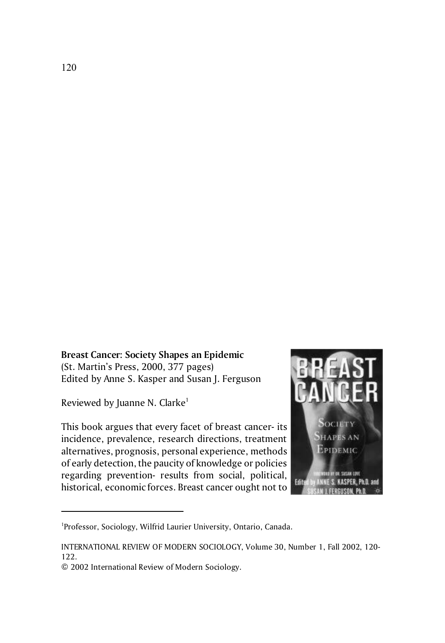## **Breast Cancer: Society Shapes an Epidemic**

(St. Martin's Press, 2000, 377 pages) Edited by Anne S. Kasper and Susan J. Ferguson

Reviewed by Juanne N. Clarke<sup>1</sup>

This book argues that every facet of breast cancer- its incidence, prevalence, research directions, treatment alternatives, prognosis, personal experience, methods of early detection, the paucity of knowledge or policies regarding prevention- results from social, political, historical, economic forces. Breast cancer ought not to



<sup>&</sup>lt;sup>1</sup>Professor, Sociology, Wilfrid Laurier University, Ontario, Canada.

INTERNATIONAL REVIEW OF MODERN SOCIOLOGY, Volume 30, Number 1, Fall 2002, 120- 122.

<sup>© 2002</sup> International Review of Modern Sociology.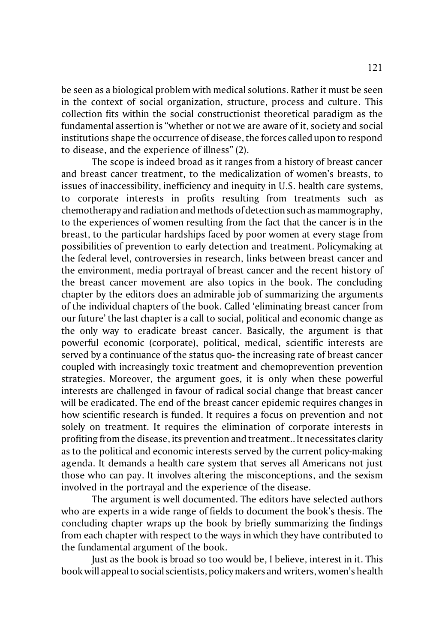be seen as a biological problem with medical solutions. Rather it must be seen in the context of social organization, structure, process and culture. This collection fits within the social constructionist theoretical paradigm as the fundamental assertion is "whether or not we are aware of it, society and social institutions shape the occurrence of disease, the forces called upon to respond to disease, and the experience of illness" (2).

The scope is indeed broad as it ranges from a history of breast cancer and breast cancer treatment, to the medicalization of women's breasts, to issues of inaccessibility, inefficiency and inequity in U.S. health care systems, to corporate interests in profits resulting from treatments such as chemotherapy and radiation and methods of detection such as mammography, to the experiences of women resulting from the fact that the cancer is in the breast, to the particular hardships faced by poor women at every stage from possibilities of prevention to early detection and treatment. Policymaking at the federal level, controversies in research, links between breast cancer and the environment, media portrayal of breast cancer and the recent history of the breast cancer movement are also topics in the book. The concluding chapter by the editors does an admirable job of summarizing the arguments of the individual chapters of the book. Called 'eliminating breast cancer from our future' the last chapter is a call to social, political and economic change as the only way to eradicate breast cancer. Basically, the argument is that powerful economic (corporate), political, medical, scientific interests are served by a continuance of the status quo- the increasing rate of breast cancer coupled with increasingly toxic treatment and chemoprevention prevention strategies. Moreover, the argument goes, it is only when these powerful interests are challenged in favour of radical social change that breast cancer will be eradicated. The end of the breast cancer epidemic requires changes in how scientific research is funded. It requires a focus on prevention and not solely on treatment. It requires the elimination of corporate interests in profiting from the disease, its prevention and treatment.. It necessitates clarity as to the political and economic interests served by the current policy-making agenda. It demands a health care system that serves all Americans not just those who can pay. It involves altering the misconceptions, and the sexism involved in the portrayal and the experience of the disease.

The argument is well documented. The editors have selected authors who are experts in a wide range of fields to document the book's thesis. The concluding chapter wraps up the book by briefly summarizing the findings from each chapter with respect to the ways in which they have contributed to the fundamental argument of the book.

Just as the book is broad so too would be, I believe, interest in it. This book will appeal to social scientists, policy makers and writers, women's health